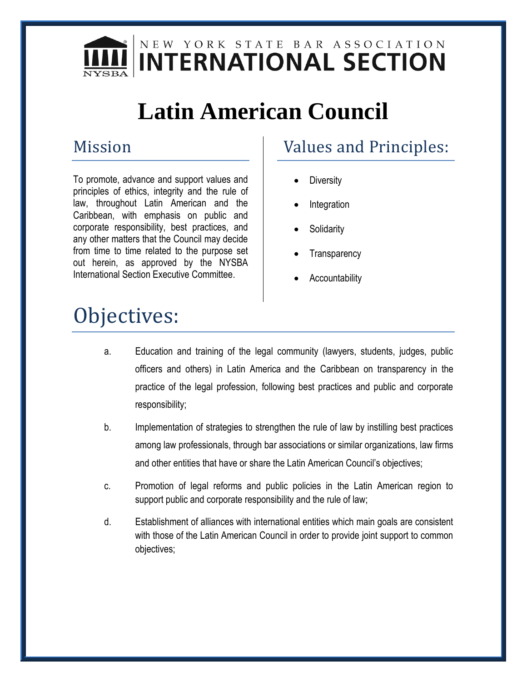

# **Latin American Council**

#### Mission

To promote, advance and support values and principles of ethics, integrity and the rule of law, throughout Latin American and the Caribbean, with emphasis on public and corporate responsibility, best practices, and any other matters that the Council may decide from time to time related to the purpose set out herein, as approved by the NYSBA International Section Executive Committee.

### Values and Principles:

- **Diversity**
- Integration
- **Solidarity**
- **Transparency**
- Accountability

# Objectives:

- a. Education and training of the legal community (lawyers, students, judges, public officers and others) in Latin America and the Caribbean on transparency in the practice of the legal profession, following best practices and public and corporate responsibility;
- b. Implementation of strategies to strengthen the rule of law by instilling best practices among law professionals, through bar associations or similar organizations, law firms and other entities that have or share the Latin American Council's objectives;
- c. Promotion of legal reforms and public policies in the Latin American region to support public and corporate responsibility and the rule of law;
- d. Establishment of alliances with international entities which main goals are consistent with those of the Latin American Council in order to provide joint support to common objectives;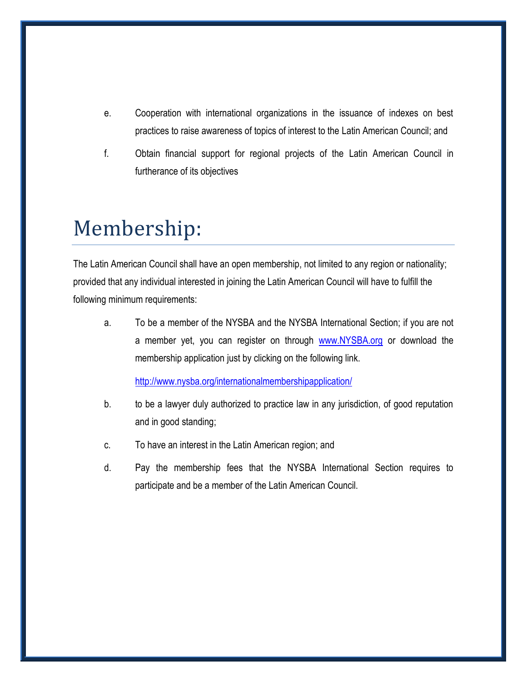- e. Cooperation with international organizations in the issuance of indexes on best practices to raise awareness of topics of interest to the Latin American Council; and
- f. Obtain financial support for regional projects of the Latin American Council in furtherance of its objectives

## Membership:

The Latin American Council shall have an open membership, not limited to any region or nationality; provided that any individual interested in joining the Latin American Council will have to fulfill the following minimum requirements:

a. To be a member of the NYSBA and the NYSBA International Section; if you are not a member yet, you can register on through [www.NYSBA.org](http://www.nysba.org/) or download the membership application just by clicking on the following link.

<http://www.nysba.org/internationalmembershipapplication/>

- b. to be a lawyer duly authorized to practice law in any jurisdiction, of good reputation and in good standing;
- c. To have an interest in the Latin American region; and
- d. Pay the membership fees that the NYSBA International Section requires to participate and be a member of the Latin American Council.